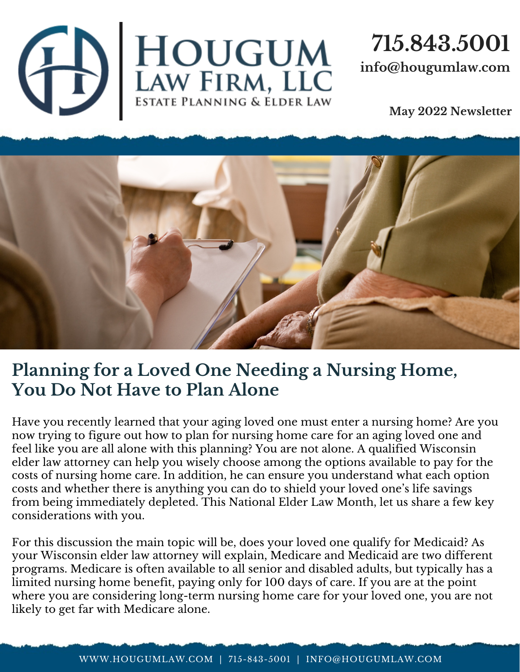

## **715.843.5001 info@hougumlaw.com**

**May 2022 Newsletter**



## **Planning for a Loved One Needing a Nursing Home, You Do Not Have to Plan Alone**

Have you recently learned that your aging loved one must enter a nursing home? Are you now trying to figure out how to plan for nursing home care for an aging loved one and feel like you are all alone with this planning? You are not alone. A qualified Wisconsin elder law attorney can help you wisely choose among the options available to pay for the costs of nursing home care. In addition, he can ensure you understand what each option costs and whether there is anything you can do to shield your loved one's life savings from being immediately depleted. This National Elder Law Month, let us share a few key considerations with you.

For this discussion the main topic will be, does your loved one qualify for Medicaid? As your Wisconsin elder law attorney will explain, Medicare and Medicaid are two different programs. Medicare is often available to all senior and disabled adults, but typically has a limited nursing home benefit, paying only for 100 days of care. If you are at the point where you are considering long-term nursing home care for your loved one, you are not likely to get far with Medicare alone.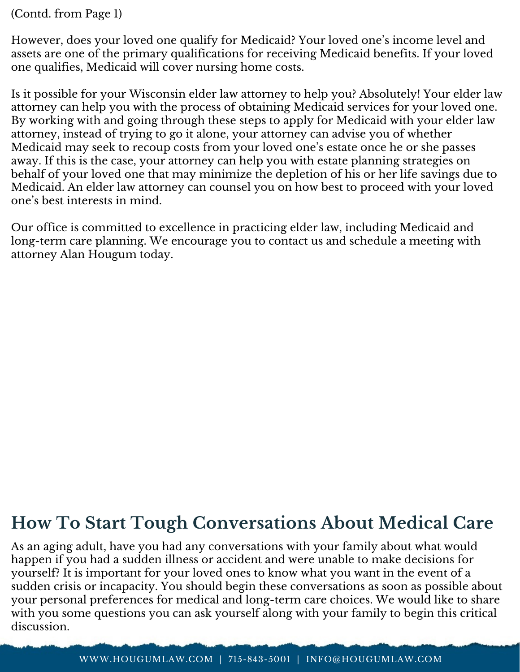(Contd. from Page 1)

However, does your loved one qualify for Medicaid? Your loved one's income level and assets are one of the primary qualifications for receiving Medicaid benefits. If your loved one qualifies, Medicaid will cover nursing home costs.

Is it possible for your Wisconsin elder law attorney to help you? Absolutely! Your elder law attorney can help you with the process of obtaining Medicaid services for your loved one. By working with and going through these steps to apply for Medicaid with your elder law attorney, instead of trying to go it alone, your attorney can advise you of whether Medicaid may seek to recoup costs from your loved one's estate once he or she passes away. If this is the case, your attorney can help you with estate planning strategies on behalf of your loved one that may minimize the depletion of his or her life savings due to Medicaid. An elder law attorney can counsel you on how best to proceed with your loved one's best interests in mind.

Our office is committed to excellence in practicing elder law, including Medicaid and long-term care planning. We encourage you to contact us and schedule a meeting with attorney Alan Hougum today.

## **How To Start Tough Conversations About Medical Care**

As an aging adult, have you had any conversations with your family about what would happen if you had a sudden illness or accident and were unable to make decisions for yourself? It is important for your loved ones to know what you want in the event of a sudden crisis or incapacity. You should begin these conversations as soon as possible about your personal preferences for medical and long-term care choices. We would like to share with you some questions you can ask yourself along with your family to begin this critical discussion.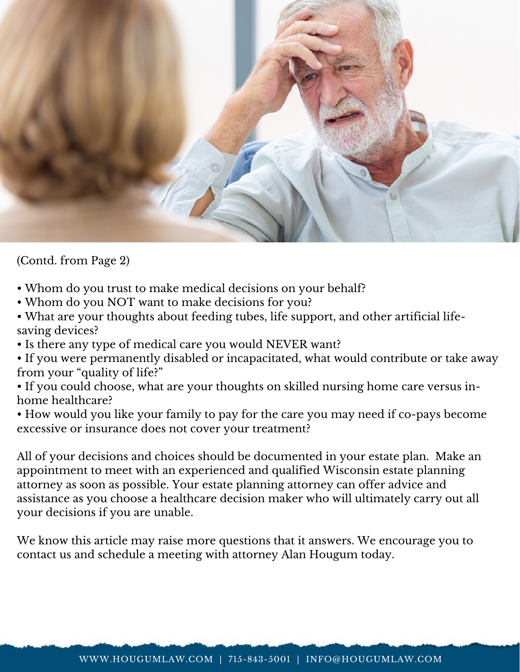

(Contd. from Page 2)

- Whom do you trust to make medical decisions on your behalf?
- $\bullet$  Whom do you NOT want to make decisions for you?
- What are your thoughts about feeding tubes, life support, and other artificial lifesaving devices?
- Is there any type of medical care you would NEVER want?
- If you were permanently disabled or incapacitated, what would contribute or take away from your "quality of life?"
- If you could choose, what are your thoughts on skilled nursing home care versus inhome healthcare?
- How would you like your family to pay for the care you may need if co-pays become excessive or insurance does not cover your treatment?

All of your decisions and choices should be documented in your estate plan. Make an appointment to meet with an experienced and qualified Wisconsin estate planning attorney as soon as possible. Your estate planning attorney can offer advice and assistance as you choose a healthcare decision maker who will ultimately carry out all your decisions if you are unable.

We know this article may raise more questions that it answers. We encourage you to contact us and schedule a meeting with attorney Alan Hougum today.